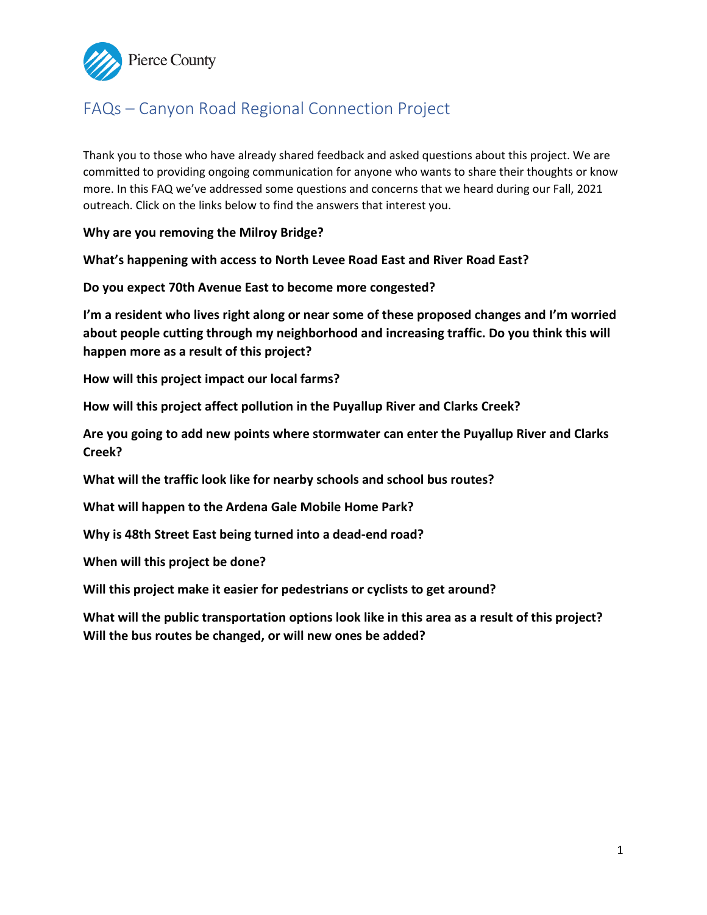<span id="page-0-0"></span>

# FAQs – Canyon Road Regional Connection Project

Thank you to those who have already shared feedback and asked questions about this project. We are committed to providing ongoing communication for anyone who wants to share their thoughts or know more. In this FAQ we've addressed some questions and concerns that we heard during our Fall, 2021 outreach. Click on the links below to find the answers that interest you.

**[Why are you removing](#page-1-0) the Milroy Bridge?**

**[What's happening with access to North Levee Road](#page-1-0) East and River Road East?** 

**Do you expect 70th [Avenue East to become more congested?](#page-2-0)**

**I'm a resident who lives right along or near some of these proposed changes and I'm worried [about people cutting through my neighborhood and increasing traffic.](#page-2-0) Do you think this will happen more as a result of this project?** 

**[How will this project impact](#page-3-0) our local farms?**

**[How will this project affect pollution in](#page-3-0) the Puyallup River and Clarks Creek?**

**Are you going to add new points where stormwater can enter [the Puyallup River and Clarks](#page-4-0)  Creek?**

**[What will the traffic look like for nearby schools and school bus routes?](#page-4-0)** 

**[What will happen to the Ardena Gale Mobile Home Park?](#page-4-0)** 

**Why is 48th Street East [being turned into a dead-end road?](#page-4-0)**

**[When will this project](#page-5-0) be done?**

**Will this project [make it easier for pedestrians or cyclists to get around?](#page-5-0)**

**What will the public transportation options look like in this area as a result of this project? [Will the bus routes be changed, or will new ones be added?](#page-5-0)**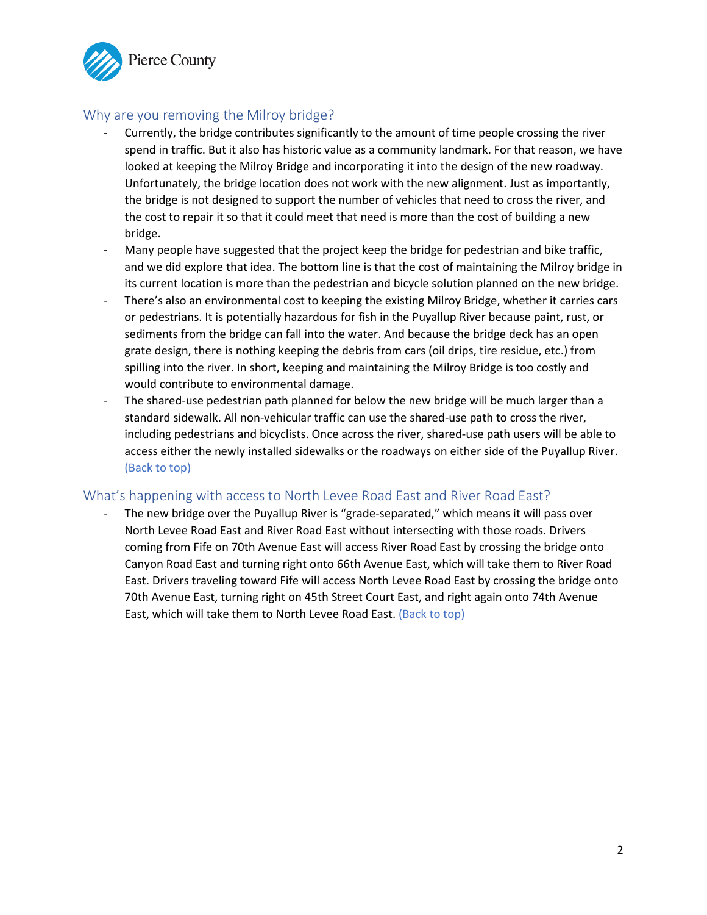<span id="page-1-0"></span>

# Why are you removing the Milroy bridge?

- Currently, the bridge contributes significantly to the amount of time people crossing the river spend in traffic. But it also has historic value as a community landmark. For that reason, we have looked at keeping the Milroy Bridge and incorporating it into the design of the new roadway. Unfortunately, the bridge location does not work with the new alignment. Just as importantly, the bridge is not designed to support the number of vehicles that need to cross the river, and the cost to repair it so that it could meet that need is more than the cost of building a new bridge.
- Many people have suggested that the project keep the bridge for pedestrian and bike traffic, and we did explore that idea. The bottom line is that the cost of maintaining the Milroy bridge in its current location is more than the pedestrian and bicycle solution planned on the new bridge.
- There's also an environmental cost to keeping the existing Milroy Bridge, whether it carries cars or pedestrians. It is potentially hazardous for fish in the Puyallup River because paint, rust, or sediments from the bridge can fall into the water. And because the bridge deck has an open grate design, there is nothing keeping the debris from cars (oil drips, tire residue, etc.) from spilling into the river. In short, keeping and maintaining the Milroy Bridge is too costly and would contribute to environmental damage.
- The shared-use pedestrian path planned for below the new bridge will be much larger than a standard sidewalk. All non-vehicular traffic can use the shared-use path to cross the river, including pedestrians and bicyclists. Once across the river, shared-use path users will be able to access either the newly installed sidewalks or the roadways on either side of the Puyallup River. [\(Back to top\)](#page-0-0)

## What's happening with access to North Levee Road East and River Road East?

The new bridge over the Puyallup River is "grade-separated," which means it will pass over North Levee Road East and River Road East without intersecting with those roads. Drivers coming from Fife on 70th Avenue East will access River Road East by crossing the bridge onto Canyon Road East and turning right onto 66th Avenue East, which will take them to River Road East. Drivers traveling toward Fife will access North Levee Road East by crossing the bridge onto 70th Avenue East, turning right on 45th Street Court East, and right again onto 74th Avenue East, which will take them to North Levee Road East. [\(Back to top\)](#page-0-0)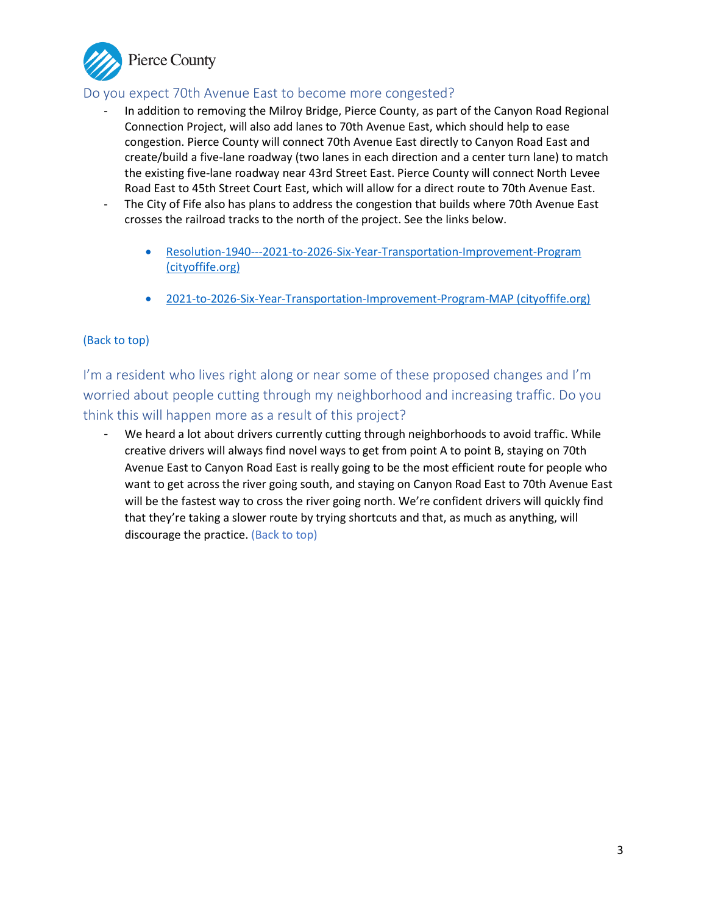<span id="page-2-0"></span>

# Do you expect 70th Avenue East to become more congested?

- In addition to removing the Milroy Bridge, Pierce County, as part of the Canyon Road Regional Connection Project, will also add lanes to 70th Avenue East, which should help to ease congestion. Pierce County will connect 70th Avenue East directly to Canyon Road East and create/build a five-lane roadway (two lanes in each direction and a center turn lane) to match the existing five-lane roadway near 43rd Street East. Pierce County will connect North Levee Road East to 45th Street Court East, which will allow for a direct route to 70th Avenue East.
- The City of Fife also has plans to address the congestion that builds where 70th Avenue East crosses the railroad tracks to the north of the project. See the links below.
	- [Resolution-1940---2021-to-2026-Six-Year-Transportation-Improvement-Program](https://www.cityoffife.org/DocumentCenter/View/3102/Resolution-1940---2021-to-2026-Six-Year-Transportation-Improvement-Program)  [\(cityoffife.org\)](https://www.cityoffife.org/DocumentCenter/View/3102/Resolution-1940---2021-to-2026-Six-Year-Transportation-Improvement-Program)
	- [2021-to-2026-Six-Year-Transportation-Improvement-Program-MAP \(cityoffife.org\)](https://www.cityoffife.org/DocumentCenter/View/3101/2021-to-2026-Six-Year-Transportation-Improvement-Program-MAP)

## [\(Back to top\)](#page-0-0)

I'm a resident who lives right along or near some of these proposed changes and I'm worried about people cutting through my neighborhood and increasing traffic. Do you think this will happen more as a result of this project?

- We heard a lot about drivers currently cutting through neighborhoods to avoid traffic. While creative drivers will always find novel ways to get from point A to point B, staying on 70th Avenue East to Canyon Road East is really going to be the most efficient route for people who want to get across the river going south, and staying on Canyon Road East to 70th Avenue East will be the fastest way to cross the river going north. We're confident drivers will quickly find that they're taking a slower route by trying shortcuts and that, as much as anything, will discourage the practice. [\(Back to top\)](#page-0-0)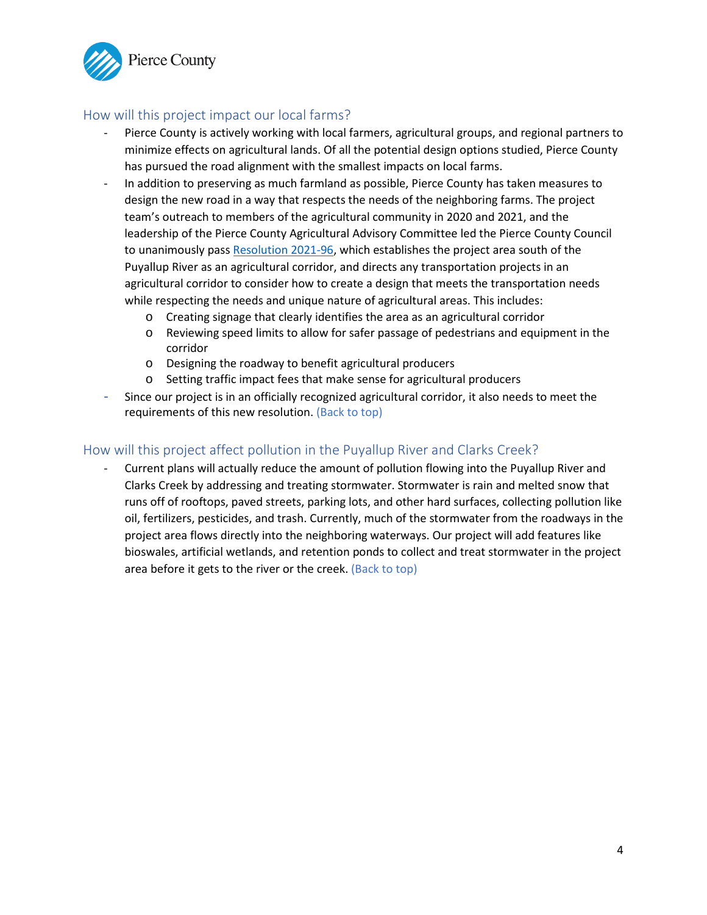<span id="page-3-0"></span>

# How will this project impact our local farms?

- Pierce County is actively working with local farmers, agricultural groups, and regional partners to minimize effects on agricultural lands. Of all the potential design options studied, Pierce County has pursued the road alignment with the smallest impacts on local farms.
- In addition to preserving as much farmland as possible, Pierce County has taken measures to design the new road in a way that respects the needs of the neighboring farms. The project team's outreach to members of the agricultural community in 2020 and 2021, and the leadership of the Pierce County Agricultural Advisory Committee led the Pierce County Council to unanimously pass [Resolution 2021-96,](https://online.co.pierce.wa.us/cfapps/council/iview/proposal.cfm?proposal_num=R2021-96) which establishes the project area south of the Puyallup River as an agricultural corridor, and directs any transportation projects in an agricultural corridor to consider how to create a design that meets the transportation needs while respecting the needs and unique nature of agricultural areas. This includes:
	- o Creating signage that clearly identifies the area as an agricultural corridor
	- o Reviewing speed limits to allow for safer passage of pedestrians and equipment in the corridor
	- o Designing the roadway to benefit agricultural producers
	- o Setting traffic impact fees that make sense for agricultural producers
- Since our project is in an officially recognized agricultural corridor, it also needs to meet the requirements of this new resolution. [\(Back to top\)](#page-0-0)

#### How will this project affect pollution in the Puyallup River and Clarks Creek?

- Current plans will actually reduce the amount of pollution flowing into the Puyallup River and Clarks Creek by addressing and treating stormwater. Stormwater is rain and melted snow that runs off of rooftops, paved streets, parking lots, and other hard surfaces, collecting pollution like oil, fertilizers, pesticides, and trash. Currently, much of the stormwater from the roadways in the project area flows directly into the neighboring waterways. Our project will add features like bioswales, artificial wetlands, and retention ponds to collect and treat stormwater in the project area before it gets to the river or the creek. [\(Back to top\)](#page-0-0)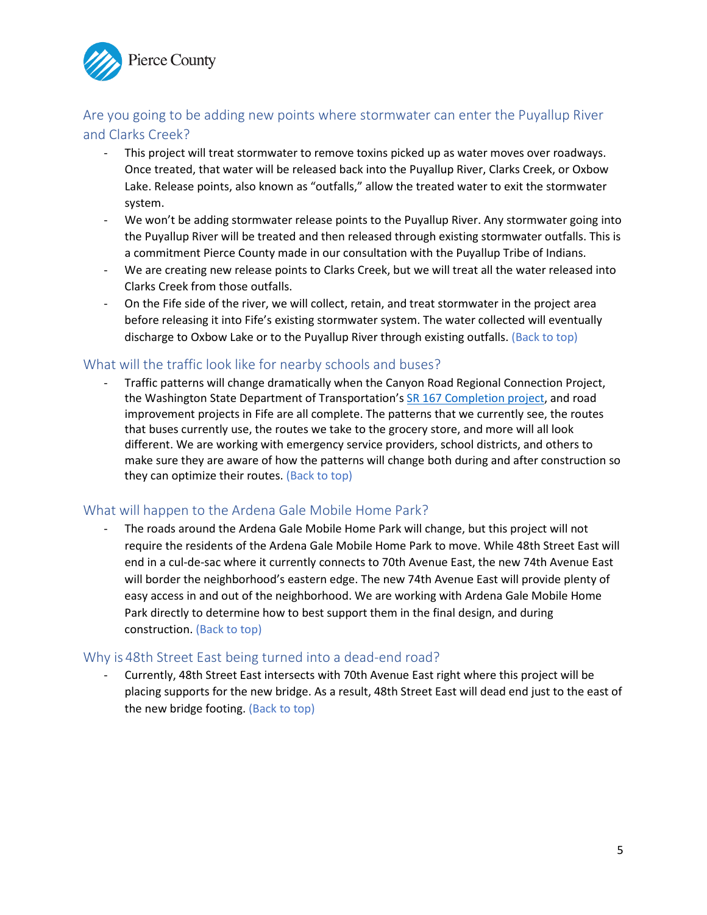<span id="page-4-0"></span>

# Are you going to be adding new points where stormwater can enter the Puyallup River and Clarks Creek?

- This project will treat stormwater to remove toxins picked up as water moves over roadways. Once treated, that water will be released back into the Puyallup River, Clarks Creek, or Oxbow Lake. Release points, also known as "outfalls," allow the treated water to exit the stormwater system.
- We won't be adding stormwater release points to the Puyallup River. Any stormwater going into the Puyallup River will be treated and then released through existing stormwater outfalls. This is a commitment Pierce County made in our consultation with the Puyallup Tribe of Indians.
- We are creating new release points to Clarks Creek, but we will treat all the water released into Clarks Creek from those outfalls.
- On the Fife side of the river, we will collect, retain, and treat stormwater in the project area before releasing it into Fife's existing stormwater system. The water collected will eventually discharge to Oxbow Lake or to the Puyallup River through existing outfalls. [\(Back to top\)](#page-0-0)

## What will the traffic look like for nearby schools and buses?

- Traffic patterns will change dramatically when the Canyon Road Regional Connection Project, the Washington State Department of Transportation's [SR 167 Completion project,](https://wsdot.wa.gov/construction-planning/search-projects/sr-167-completion-project) and road improvement projects in Fife are all complete. The patterns that we currently see, the routes that buses currently use, the routes we take to the grocery store, and more will all look different. We are working with emergency service providers, school districts, and others to make sure they are aware of how the patterns will change both during and after construction so they can optimize their routes[. \(Back to top\)](#page-0-0)

#### What will happen to the Ardena Gale Mobile Home Park?

- The roads around the Ardena Gale Mobile Home Park will change, but this project will not require the residents of the Ardena Gale Mobile Home Park to move. While 48th Street East will end in a cul-de-sac where it currently connects to 70th Avenue East, the new 74th Avenue East will border the neighborhood's eastern edge. The new 74th Avenue East will provide plenty of easy access in and out of the neighborhood. We are working with Ardena Gale Mobile Home Park directly to determine how to best support them in the final design, and during constructio[n. \(Back to top\)](#page-0-0)

#### Why is 48th Street East being turned into a dead-end road?

Currently, 48th Street East intersects with 70th Avenue East right where this project will be placing supports for the new bridge. As a result, 48th Street East will dead end just to the east of the new bridge footing. [\(Back to top\)](#page-0-0)